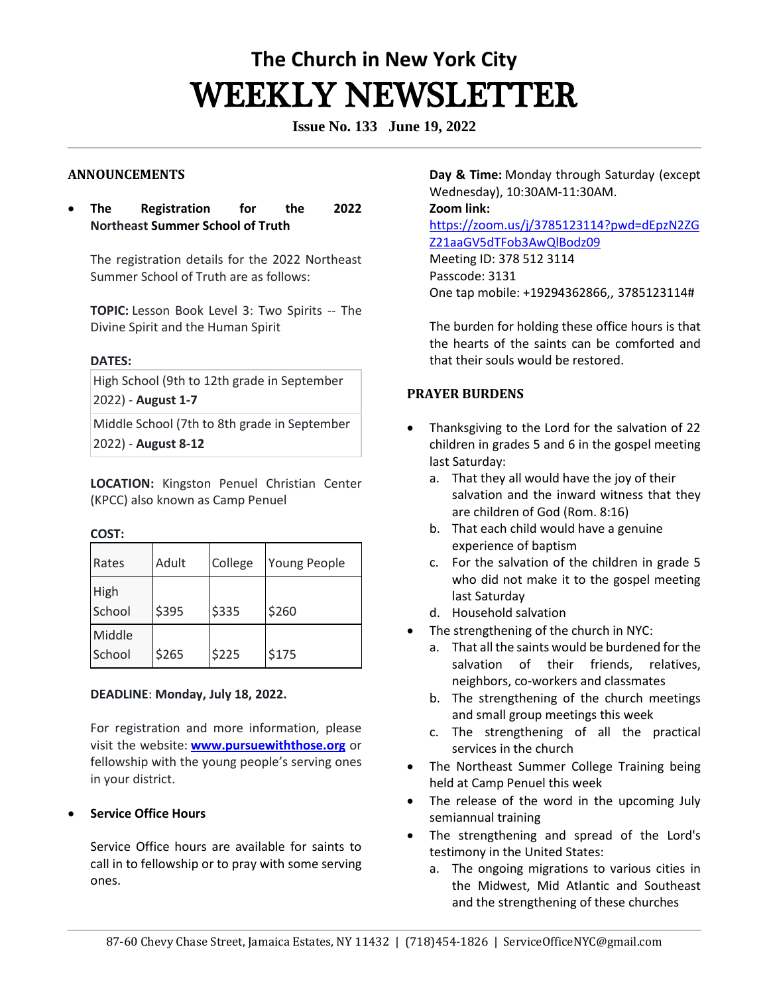# **The Church in New York City** WEEKLY NEWSLETTER

**Issue No. 133 June 19, 2022**

### **ANNOUNCEMENTS**

• **The Registration for the 2022 Northeast Summer School of Truth**

The registration details for the 2022 Northeast Summer School of Truth are as follows:

**TOPIC:** Lesson Book Level 3: Two Spirits -- The Divine Spirit and the Human Spirit

#### **DATES:**

High School (9th to 12th grade in September 2022) - **August 1-7**

Middle School (7th to 8th grade in September 2022) - **August 8-12**

**LOCATION:** Kingston Penuel Christian Center (KPCC) also known as Camp Penuel

#### **COST:**

| Rates            | Adult | College | Young People |
|------------------|-------|---------|--------------|
| High<br>School   | \$395 | \$335   | \$260        |
| Middle<br>School | \$265 | \$225   | \$175        |

#### **DEADLINE**: **Monday, July 18, 2022.**

For registration and more information, please visit the website: **[www.pursuewiththose.org](http://www.pursuewiththose.org/)** or fellowship with the young people's serving ones in your district.

#### • **Service Office Hours**

Service Office hours are available for saints to call in to fellowship or to pray with some serving ones. 

**Day & Time:** Monday through Saturday (except Wednesday), 10:30AM-11:30AM.   **Zoom link:** [https://zoom.us/j/3785123114?pwd=dEpzN2ZG](https://zoom.us/j/3785123114?pwd=dEpzN2ZGZ21aaGV5dTFob3AwQlBodz09) [Z21aaGV5dTFob3AwQlBodz09](https://zoom.us/j/3785123114?pwd=dEpzN2ZGZ21aaGV5dTFob3AwQlBodz09) Meeting ID: 378 512 3114 Passcode: 3131 One tap mobile: +19294362866,, 3785123114#

The burden for holding these office hours is that the hearts of the saints can be comforted and that their souls would be restored. 

# **PRAYER BURDENS**

- Thanksgiving to the Lord for the salvation of 22 children in grades 5 and 6 in the gospel meeting last Saturday:
	- a. That they all would have the joy of their salvation and the inward witness that they are children of God (Rom. 8:16)
	- b. That each child would have a genuine experience of baptism
	- c. For the salvation of the children in grade 5 who did not make it to the gospel meeting last Saturday
	- d. Household salvation
- The strengthening of the church in NYC:
	- a. That all the saints would be burdened for the salvation of their friends, relatives, neighbors, co-workers and classmates
	- b. The strengthening of the church meetings and small group meetings this week
	- c. The strengthening of all the practical services in the church
- The Northeast Summer College Training being held at Camp Penuel this week
- The release of the word in the upcoming July semiannual training
- The strengthening and spread of the Lord's testimony in the United States:
	- a. The ongoing migrations to various cities in the Midwest, Mid Atlantic and Southeast and the strengthening of these churches